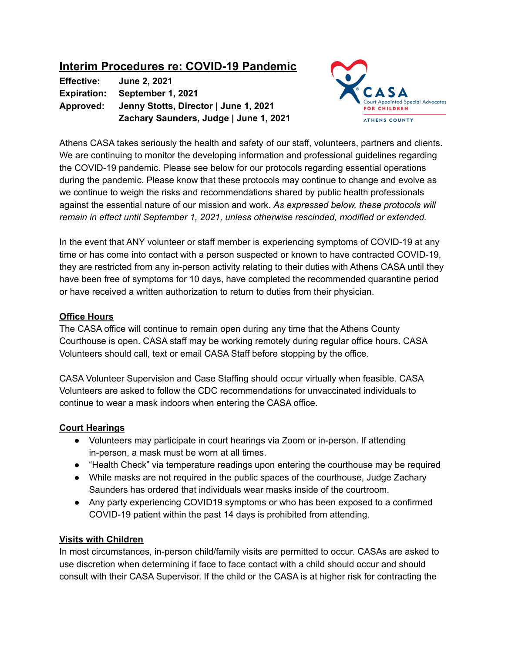# **Interim Procedures re: COVID-19 Pandemic**

**Effective: June 2, 2021 Expiration: September 1, 2021 Approved: Jenny Stotts, Director | June 1, 2021 Zachary Saunders, Judge | June 1, 2021**



Athens CASA takes seriously the health and safety of our staff, volunteers, partners and clients. We are continuing to monitor the developing information and professional guidelines regarding the COVID-19 pandemic. Please see below for our protocols regarding essential operations during the pandemic. Please know that these protocols may continue to change and evolve as we continue to weigh the risks and recommendations shared by public health professionals against the essential nature of our mission and work. *As expressed below, these protocols will remain in effect until September 1, 2021, unless otherwise rescinded, modified or extended.*

In the event that ANY volunteer or staff member is experiencing symptoms of COVID-19 at any time or has come into contact with a person suspected or known to have contracted COVID-19, they are restricted from any in-person activity relating to their duties with Athens CASA until they have been free of symptoms for 10 days, have completed the recommended quarantine period or have received a written authorization to return to duties from their physician.

### **Office Hours**

The CASA office will continue to remain open during any time that the Athens County Courthouse is open. CASA staff may be working remotely during regular office hours. CASA Volunteers should call, text or email CASA Staff before stopping by the office.

CASA Volunteer Supervision and Case Staffing should occur virtually when feasible. CASA Volunteers are asked to follow the CDC recommendations for unvaccinated individuals to continue to wear a mask indoors when entering the CASA office.

## **Court Hearings**

- Volunteers may participate in court hearings via Zoom or in-person. If attending in-person, a mask must be worn at all times.
- "Health Check" via temperature readings upon entering the courthouse may be required
- While masks are not required in the public spaces of the courthouse, Judge Zachary Saunders has ordered that individuals wear masks inside of the courtroom.
- Any party experiencing COVID19 symptoms or who has been exposed to a confirmed COVID-19 patient within the past 14 days is prohibited from attending.

## **Visits with Children**

In most circumstances, in-person child/family visits are permitted to occur. CASAs are asked to use discretion when determining if face to face contact with a child should occur and should consult with their CASA Supervisor. If the child or the CASA is at higher risk for contracting the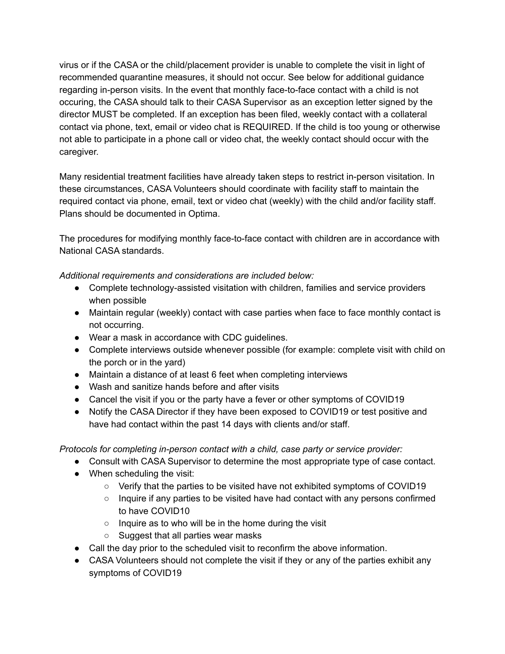virus or if the CASA or the child/placement provider is unable to complete the visit in light of recommended quarantine measures, it should not occur. See below for additional guidance regarding in-person visits. In the event that monthly face-to-face contact with a child is not occuring, the CASA should talk to their CASA Supervisor as an exception letter signed by the director MUST be completed. If an exception has been filed, weekly contact with a collateral contact via phone, text, email or video chat is REQUIRED. If the child is too young or otherwise not able to participate in a phone call or video chat, the weekly contact should occur with the caregiver.

Many residential treatment facilities have already taken steps to restrict in-person visitation. In these circumstances, CASA Volunteers should coordinate with facility staff to maintain the required contact via phone, email, text or video chat (weekly) with the child and/or facility staff. Plans should be documented in Optima.

The procedures for modifying monthly face-to-face contact with children are in accordance with National CASA standards.

*Additional requirements and considerations are included below:*

- Complete technology-assisted visitation with children, families and service providers when possible
- Maintain regular (weekly) contact with case parties when face to face monthly contact is not occurring.
- Wear a mask in accordance with CDC guidelines.
- Complete interviews outside whenever possible (for example: complete visit with child on the porch or in the yard)
- Maintain a distance of at least 6 feet when completing interviews
- Wash and sanitize hands before and after visits
- Cancel the visit if you or the party have a fever or other symptoms of COVID19
- Notify the CASA Director if they have been exposed to COVID19 or test positive and have had contact within the past 14 days with clients and/or staff.

*Protocols for completing in-person contact with a child, case party or service provider:*

- Consult with CASA Supervisor to determine the most appropriate type of case contact.
- When scheduling the visit:
	- Verify that the parties to be visited have not exhibited symptoms of COVID19
	- Inquire if any parties to be visited have had contact with any persons confirmed to have COVID10
	- Inquire as to who will be in the home during the visit
	- Suggest that all parties wear masks
- Call the day prior to the scheduled visit to reconfirm the above information.
- CASA Volunteers should not complete the visit if they or any of the parties exhibit any symptoms of COVID19